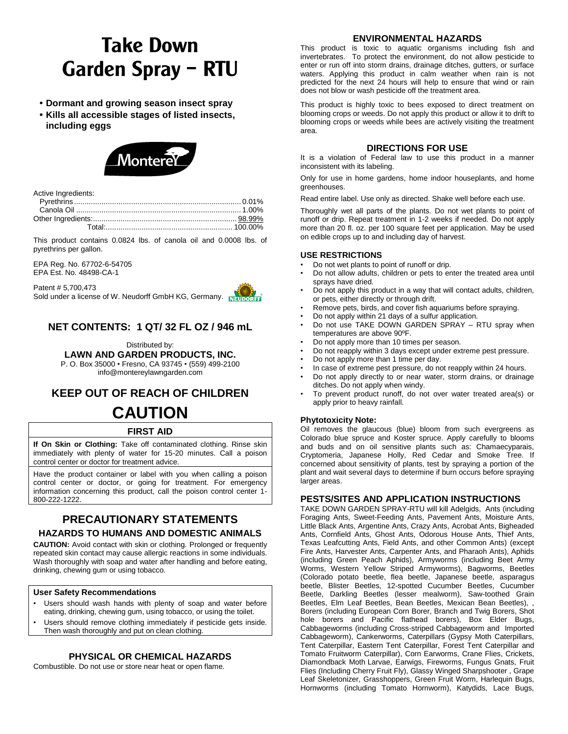# **Take Down Garden Spray - RTU**

- **• Dormant and growing season insect spray**
- **• Kills all accessible stages of listed insects, including eggs**



Active Ingredients:

This product contains 0.0824 lbs. of canola oil and 0.0008 lbs. of pyrethrins per gallon.

EPA Reg. No. 67702-6-54705 EPA Est. No. 48498-CA-1

Patent # 5,700,473 Sold under a license of W. Neudorff GmbH KG, Germany.



# **NET CONTENTS: 1 QT/ 32 FL OZ / 946 mL**

Distributed by: **LAWN AND GARDEN PRODUCTS, INC.** P. O. Box 35000 • Fresno, CA 93745 • (559) 499-2100 info@montereylawngarden.com

# **KEEP OUT OF REACH OF CHILDREN CAUTION**

## **FIRST AID**

**If On Skin or Clothing:** Take off contaminated clothing. Rinse skin immediately with plenty of water for 15-20 minutes. Call a poison control center or doctor for treatment advice.

Have the product container or label with you when calling a poison control center or doctor, or going for treatment. For emergency information concerning this product, call the poison control center 1- 800-222-1222.

# **PRECAUTIONARY STATEMENTS HAZARDS TO HUMANS AND DOMESTIC ANIMALS**

**CAUTION:** Avoid contact with skin or clothing. Prolonged or frequently repeated skin contact may cause allergic reactions in some individuals. Wash thoroughly with soap and water after handling and before eating, drinking, chewing gum or using tobacco.

#### **User Safety Recommendations**

- Users should wash hands with plenty of soap and water before eating, drinking, chewing gum, using tobacco, or using the toilet.
- Users should remove clothing immediately if pesticide gets inside. Then wash thoroughly and put on clean clothing.

## **PHYSICAL OR CHEMICAL HAZARDS**

Combustible. Do not use or store near heat or open flame.

#### **ENVIRONMENTAL HAZARDS**

This product is toxic to aquatic organisms including fish and invertebrates. To protect the environment, do not allow pesticide to enter or run off into storm drains, drainage ditches, gutters, or surface waters. Applying this product in calm weather when rain is not predicted for the next 24 hours will help to ensure that wind or rain does not blow or wash pesticide off the treatment area.

This product is highly toxic to bees exposed to direct treatment on blooming crops or weeds. Do not apply this product or allow it to drift to blooming crops or weeds while bees are actively visiting the treatment area.

#### **DIRECTIONS FOR USE**

It is a violation of Federal law to use this product in a manner inconsistent with its labeling.

Only for use in home gardens, home indoor houseplants, and home greenhouses.

Read entire label. Use only as directed. Shake well before each use.

Thoroughly wet all parts of the plants. Do not wet plants to point of runoff or drip. Repeat treatment in 1-2 weeks if needed. Do not apply more than 20 fl. oz. per 100 square feet per application. May be used on edible crops up to and including day of harvest.

#### **USE RESTRICTIONS**

- Do not wet plants to point of runoff or drip.
- Do not allow adults, children or pets to enter the treated area until sprays have dried.
- Do not apply this product in a way that will contact adults, children, or pets, either directly or through drift.
- Remove pets, birds, and cover fish aquariums before spraying.
- Do not apply within 21 days of a sulfur application.
- Do not use TAKE DOWN GARDEN SPRAY RTU spray when temperatures are above 90ºF.
- Do not apply more than 10 times per season.
- Do not reapply within 3 days except under extreme pest pressure.
- Do not apply more than 1 time per day.
- In case of extreme pest pressure, do not reapply within 24 hours.
- Do not apply directly to or near water, storm drains, or drainage ditches. Do not apply when windy.
- To prevent product runoff, do not over water treated area(s) or apply prior to heavy rainfall.

#### **Phytotoxicity Note:**

Oil removes the glaucous (blue) bloom from such evergreens as Colorado blue spruce and Koster spruce. Apply carefully to blooms and buds and on oil sensitive plants such as: Chamaecyparais, Cryptomeria, Japanese Holly, Red Cedar and Smoke Tree. If concerned about sensitivity of plants, test by spraying a portion of the plant and wait several days to determine if burn occurs before spraying larger areas.

#### **PESTS/SITES AND APPLICATION INSTRUCTIONS**

TAKE DOWN GARDEN SPRAY-RTU will kill Adelgids, Ants (including Foraging Ants, Sweet-Feeding Ants, Pavement Ants, Moisture Ants, Little Black Ants, Argentine Ants, Crazy Ants, Acrobat Ants, Bigheaded Ants, Cornfield Ants, Ghost Ants, Odorous House Ants, Thief Ants, Texas Leafcutting Ants, Field Ants, and other Common Ants) (except Fire Ants, Harvester Ants, Carpenter Ants, and Pharaoh Ants), Aphids (including Green Peach Aphids), Armyworms (including Beet Army Worms, Western Yellow Striped Armyworms), Bagworms, Beetles (Colorado potato beetle, flea beetle, Japanese beetle, asparagus beetle, Blister Beetles, 12-spotted Cucumber Beetles, Cucumber Beetle, Darkling Beetles (lesser mealworm), Saw-toothed Grain Beetles, Elm Leaf Beetles, Bean Beetles, Mexican Bean Beetles), , Borers (including European Corn Borer, Branch and Twig Borers, Shot hole borers and Pacific flathead borers), Box Elder Bugs, Cabbageworms (including Cross-striped Cabbageworm and Imported Cabbageworm), Cankerworms, Caterpillars (Gypsy Moth Caterpillars, Tent Caterpillar, Eastern Tent Caterpillar, Forest Tent Caterpillar and Tomato Fruitworm Caterpillar), Corn Earworms, Crane Flies, Crickets, Diamondback Moth Larvae, Earwigs, Fireworms, Fungus Gnats, Fruit Flies (Including Cherry Fruit Fly), Glassy Winged Sharpshooter , Grape Leaf Skeletonizer, Grasshoppers, Green Fruit Worm, Harlequin Bugs, Hornworms (including Tomato Hornworm), Katydids, Lace Bugs,